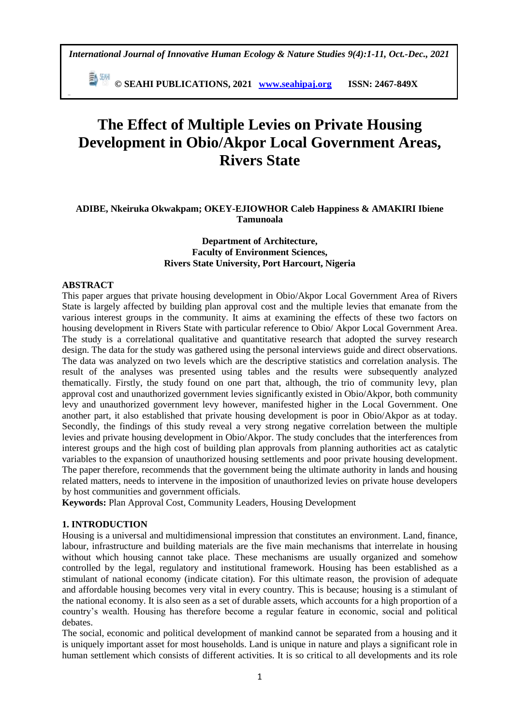*International Journal of Innovative Human Ecology & Nature Studies 9(4):1-11, Oct.-Dec., 2021*

 **© SEAHI PUBLICATIONS, 2021 [www.seahipaj.org](http://www.seahipaj.org/) ISSN: 2467-849X**

# **The Effect of Multiple Levies on Private Housing Development in Obio/Akpor Local Government Areas, Rivers State**

# **ADIBE, Nkeiruka Okwakpam; OKEY-EJIOWHOR Caleb Happiness & AMAKIRI Ibiene Tamunoala**

## **Department of Architecture, Faculty of Environment Sciences, Rivers State University, Port Harcourt, Nigeria**

#### **ABSTRACT**

**-**

This paper argues that private housing development in Obio/Akpor Local Government Area of Rivers State is largely affected by building plan approval cost and the multiple levies that emanate from the various interest groups in the community. It aims at examining the effects of these two factors on housing development in Rivers State with particular reference to Obio/ Akpor Local Government Area. The study is a correlational qualitative and quantitative research that adopted the survey research design. The data for the study was gathered using the personal interviews guide and direct observations. The data was analyzed on two levels which are the descriptive statistics and correlation analysis. The result of the analyses was presented using tables and the results were subsequently analyzed thematically. Firstly, the study found on one part that, although, the trio of community levy, plan approval cost and unauthorized government levies significantly existed in Obio/Akpor, both community levy and unauthorized government levy however, manifested higher in the Local Government. One another part, it also established that private housing development is poor in Obio/Akpor as at today. Secondly, the findings of this study reveal a very strong negative correlation between the multiple levies and private housing development in Obio/Akpor. The study concludes that the interferences from interest groups and the high cost of building plan approvals from planning authorities act as catalytic variables to the expansion of unauthorized housing settlements and poor private housing development. The paper therefore, recommends that the government being the ultimate authority in lands and housing related matters, needs to intervene in the imposition of unauthorized levies on private house developers by host communities and government officials.

**Keywords:** Plan Approval Cost, Community Leaders, Housing Development

#### **1. INTRODUCTION**

Housing is a universal and multidimensional impression that constitutes an environment. Land, finance, labour, infrastructure and building materials are the five main mechanisms that interrelate in housing without which housing cannot take place. These mechanisms are usually organized and somehow controlled by the legal, regulatory and institutional framework. Housing has been established as a stimulant of national economy (indicate citation). For this ultimate reason, the provision of adequate and affordable housing becomes very vital in every country. This is because; housing is a stimulant of the national economy. It is also seen as a set of durable assets, which accounts for a high proportion of a country's wealth. Housing has therefore become a regular feature in economic, social and political debates.

The social, economic and political development of mankind cannot be separated from a housing and it is uniquely important asset for most households. Land is unique in nature and plays a significant role in human settlement which consists of different activities. It is so critical to all developments and its role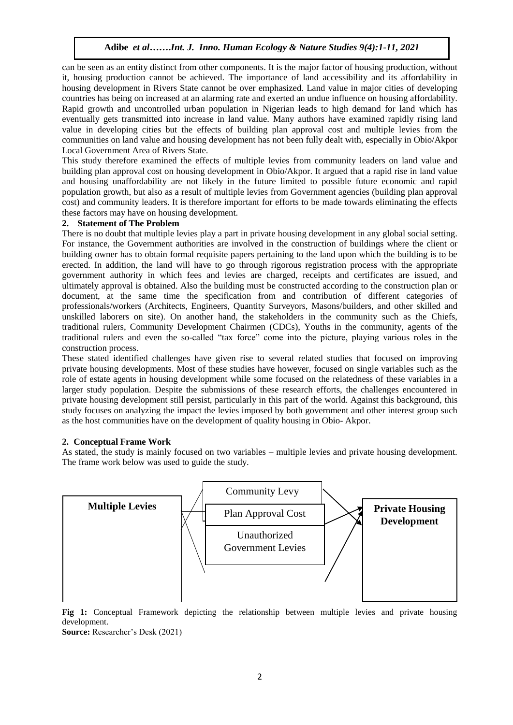can be seen as an entity distinct from other components. It is the major factor of housing production, without it, housing production cannot be achieved. The importance of land accessibility and its affordability in housing development in Rivers State cannot be over emphasized. Land value in major cities of developing countries has being on increased at an alarming rate and exerted an undue influence on housing affordability. Rapid growth and uncontrolled urban population in Nigerian leads to high demand for land which has eventually gets transmitted into increase in land value. Many authors have examined rapidly rising land value in developing cities but the effects of building plan approval cost and multiple levies from the communities on land value and housing development has not been fully dealt with, especially in Obio/Akpor Local Government Area of Rivers State.

This study therefore examined the effects of multiple levies from community leaders on land value and building plan approval cost on housing development in Obio/Akpor. It argued that a rapid rise in land value and housing unaffordability are not likely in the future limited to possible future economic and rapid population growth, but also as a result of multiple levies from Government agencies (building plan approval cost) and community leaders. It is therefore important for efforts to be made towards eliminating the effects these factors may have on housing development.

#### **2. Statement of The Problem**

There is no doubt that multiple levies play a part in private housing development in any global social setting. For instance, the Government authorities are involved in the construction of buildings where the client or building owner has to obtain formal requisite papers pertaining to the land upon which the building is to be erected. In addition, the land will have to go through rigorous registration process with the appropriate government authority in which fees and levies are charged, receipts and certificates are issued, and ultimately approval is obtained. Also the building must be constructed according to the construction plan or document, at the same time the specification from and contribution of different categories of professionals/workers (Architects, Engineers, Quantity Surveyors, Masons/builders, and other skilled and unskilled laborers on site). On another hand, the stakeholders in the community such as the Chiefs, traditional rulers, Community Development Chairmen (CDCs), Youths in the community, agents of the traditional rulers and even the so-called "tax force" come into the picture, playing various roles in the construction process.

These stated identified challenges have given rise to several related studies that focused on improving private housing developments. Most of these studies have however, focused on single variables such as the role of estate agents in housing development while some focused on the relatedness of these variables in a larger study population. Despite the submissions of these research efforts, the challenges encountered in private housing development still persist, particularly in this part of the world. Against this background, this study focuses on analyzing the impact the levies imposed by both government and other interest group such as the host communities have on the development of quality housing in Obio- Akpor.

# **2. Conceptual Frame Work**

As stated, the study is mainly focused on two variables – multiple levies and private housing development. The frame work below was used to guide the study.



**Fig 1:** Conceptual Framework depicting the relationship between multiple levies and private housing development.

**Source:** Researcher's Desk (2021)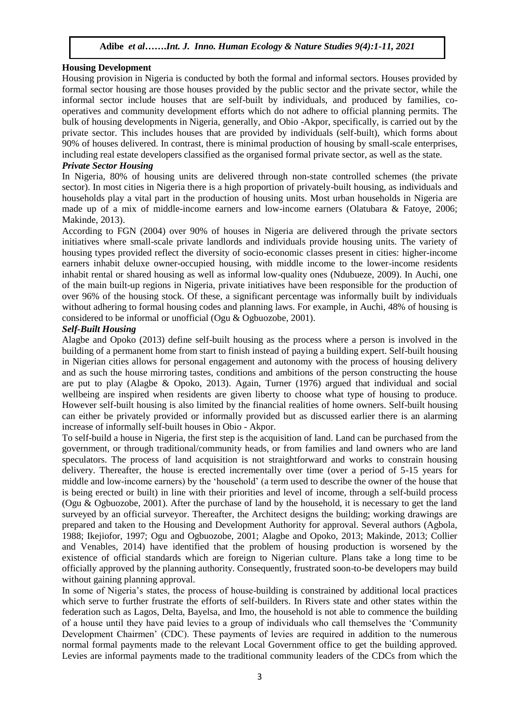# **Housing Development**

Housing provision in Nigeria is conducted by both the formal and informal sectors. Houses provided by formal sector housing are those houses provided by the public sector and the private sector, while the informal sector include houses that are self-built by individuals, and produced by families, cooperatives and community development efforts which do not adhere to official planning permits. The bulk of housing developments in Nigeria, generally, and Obio -Akpor, specifically, is carried out by the private sector. This includes houses that are provided by individuals (self-built), which forms about 90% of houses delivered. In contrast, there is minimal production of housing by small-scale enterprises, including real estate developers classified as the organised formal private sector, as well as the state.

# *Private Sector Housing*

In Nigeria, 80% of housing units are delivered through non-state controlled schemes (the private sector). In most cities in Nigeria there is a high proportion of privately-built housing, as individuals and households play a vital part in the production of housing units. Most urban households in Nigeria are made up of a mix of middle-income earners and low-income earners (Olatubara & Fatoye, 2006; Makinde, 2013).

According to FGN (2004) over 90% of houses in Nigeria are delivered through the private sectors initiatives where small-scale private landlords and individuals provide housing units. The variety of housing types provided reflect the diversity of socio-economic classes present in cities: higher-income earners inhabit deluxe owner-occupied housing, with middle income to the lower-income residents inhabit rental or shared housing as well as informal low-quality ones (Ndubueze, 2009). In Auchi, one of the main built-up regions in Nigeria, private initiatives have been responsible for the production of over 96% of the housing stock. Of these, a significant percentage was informally built by individuals without adhering to formal housing codes and planning laws. For example, in Auchi, 48% of housing is considered to be informal or unofficial (Ogu & Ogbuozobe, 2001).

# *Self-Built Housing*

Alagbe and Opoko (2013) define self-built housing as the process where a person is involved in the building of a permanent home from start to finish instead of paying a building expert. Self-built housing in Nigerian cities allows for personal engagement and autonomy with the process of housing delivery and as such the house mirroring tastes, conditions and ambitions of the person constructing the house are put to play (Alagbe & Opoko, 2013). Again, Turner (1976) argued that individual and social wellbeing are inspired when residents are given liberty to choose what type of housing to produce. However self-built housing is also limited by the financial realities of home owners. Self-built housing can either be privately provided or informally provided but as discussed earlier there is an alarming increase of informally self-built houses in Obio - Akpor.

To self-build a house in Nigeria, the first step is the acquisition of land. Land can be purchased from the government, or through traditional/community heads, or from families and land owners who are land speculators. The process of land acquisition is not straightforward and works to constrain housing delivery. Thereafter, the house is erected incrementally over time (over a period of 5-15 years for middle and low-income earners) by the 'household' (a term used to describe the owner of the house that is being erected or built) in line with their priorities and level of income, through a self-build process (Ogu & Ogbuozobe, 2001). After the purchase of land by the household, it is necessary to get the land surveyed by an official surveyor. Thereafter, the Architect designs the building; working drawings are prepared and taken to the Housing and Development Authority for approval. Several authors (Agbola, 1988; Ikejiofor, 1997; Ogu and Ogbuozobe, 2001; Alagbe and Opoko, 2013; Makinde, 2013; Collier and Venables, 2014) have identified that the problem of housing production is worsened by the existence of official standards which are foreign to Nigerian culture. Plans take a long time to be officially approved by the planning authority. Consequently, frustrated soon-to-be developers may build without gaining planning approval.

In some of Nigeria's states, the process of house-building is constrained by additional local practices which serve to further frustrate the efforts of self-builders. In Rivers state and other states within the federation such as Lagos, Delta, Bayelsa, and Imo, the household is not able to commence the building of a house until they have paid levies to a group of individuals who call themselves the 'Community Development Chairmen' (CDC). These payments of levies are required in addition to the numerous normal formal payments made to the relevant Local Government office to get the building approved. Levies are informal payments made to the traditional community leaders of the CDCs from which the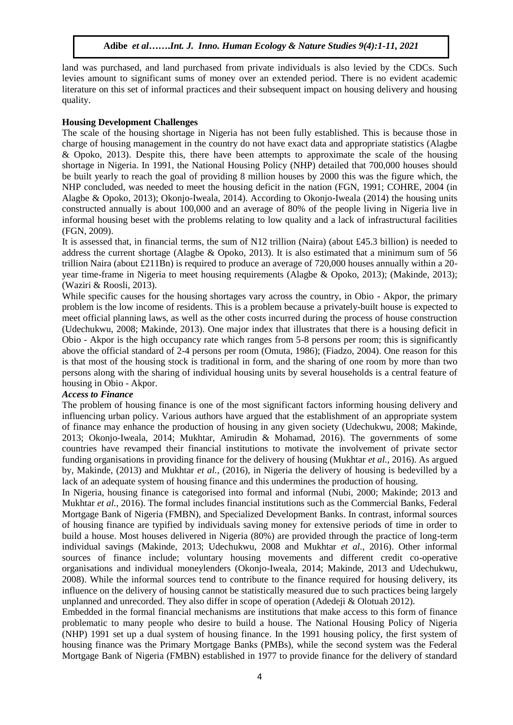land was purchased, and land purchased from private individuals is also levied by the CDCs. Such levies amount to significant sums of money over an extended period. There is no evident academic literature on this set of informal practices and their subsequent impact on housing delivery and housing quality.

# **Housing Development Challenges**

The scale of the housing shortage in Nigeria has not been fully established. This is because those in charge of housing management in the country do not have exact data and appropriate statistics (Alagbe & Opoko, 2013). Despite this, there have been attempts to approximate the scale of the housing shortage in Nigeria. In 1991, the National Housing Policy (NHP) detailed that 700,000 houses should be built yearly to reach the goal of providing 8 million houses by 2000 this was the figure which, the NHP concluded, was needed to meet the housing deficit in the nation (FGN, 1991; COHRE, 2004 (in Alagbe & Opoko, 2013); Okonjo-Iweala, 2014). According to Okonjo-Iweala (2014) the housing units constructed annually is about 100,000 and an average of 80% of the people living in Nigeria live in informal housing beset with the problems relating to low quality and a lack of infrastructural facilities (FGN, 2009).

It is assessed that, in financial terms, the sum of N12 trillion (Naira) (about £45.3 billion) is needed to address the current shortage (Alagbe & Opoko, 2013). It is also estimated that a minimum sum of 56 trillion Naira (about £211Bn) is required to produce an average of 720,000 houses annually within a 20 year time-frame in Nigeria to meet housing requirements (Alagbe & Opoko, 2013); (Makinde, 2013); (Waziri & Roosli, 2013).

While specific causes for the housing shortages vary across the country, in Obio - Akpor, the primary problem is the low income of residents. This is a problem because a privately-built house is expected to meet official planning laws, as well as the other costs incurred during the process of house construction (Udechukwu, 2008; Makinde, 2013). One major index that illustrates that there is a housing deficit in Obio - Akpor is the high occupancy rate which ranges from 5-8 persons per room; this is significantly above the official standard of 2-4 persons per room (Omuta, 1986); (Fiadzo, 2004). One reason for this is that most of the housing stock is traditional in form, and the sharing of one room by more than two persons along with the sharing of individual housing units by several households is a central feature of housing in Obio - Akpor.

# *Access to Finance*

The problem of housing finance is one of the most significant factors informing housing delivery and influencing urban policy. Various authors have argued that the establishment of an appropriate system of finance may enhance the production of housing in any given society (Udechukwu, 2008; Makinde, 2013; Okonjo-Iweala, 2014; Mukhtar, Amirudin & Mohamad, 2016). The governments of some countries have revamped their financial institutions to motivate the involvement of private sector funding organisations in providing finance for the delivery of housing (Mukhtar *et al.,* 2016). As argued by, Makinde, (2013) and Mukhtar *et al.,* (2016), in Nigeria the delivery of housing is bedevilled by a lack of an adequate system of housing finance and this undermines the production of housing.

In Nigeria, housing finance is categorised into formal and informal (Nubi, 2000; Makinde; 2013 and Mukhtar *et al.,* 2016). The formal includes financial institutions such as the Commercial Banks, Federal Mortgage Bank of Nigeria (FMBN), and Specialized Development Banks. In contrast, informal sources of housing finance are typified by individuals saving money for extensive periods of time in order to build a house. Most houses delivered in Nigeria (80%) are provided through the practice of long-term individual savings (Makinde, 2013; Udechukwu, 2008 and Mukhtar *et al.,* 2016). Other informal sources of finance include; voluntary housing movements and different credit co-operative organisations and individual moneylenders (Okonjo-Iweala, 2014; Makinde, 2013 and Udechukwu, 2008). While the informal sources tend to contribute to the finance required for housing delivery, its influence on the delivery of housing cannot be statistically measured due to such practices being largely unplanned and unrecorded. They also differ in scope of operation (Adedeji & Olotuah 2012).

Embedded in the formal financial mechanisms are institutions that make access to this form of finance problematic to many people who desire to build a house. The National Housing Policy of Nigeria (NHP) 1991 set up a dual system of housing finance. In the 1991 housing policy, the first system of housing finance was the Primary Mortgage Banks (PMBs), while the second system was the Federal Mortgage Bank of Nigeria (FMBN) established in 1977 to provide finance for the delivery of standard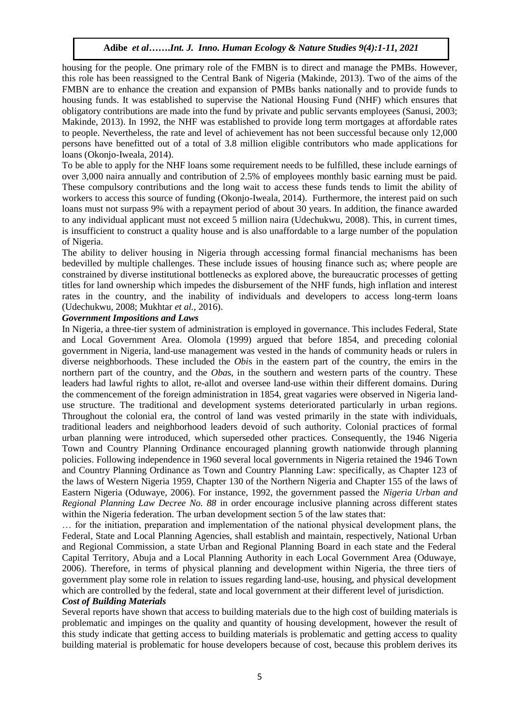housing for the people. One primary role of the FMBN is to direct and manage the PMBs. However, this role has been reassigned to the Central Bank of Nigeria (Makinde, 2013). Two of the aims of the FMBN are to enhance the creation and expansion of PMBs banks nationally and to provide funds to housing funds. It was established to supervise the National Housing Fund (NHF) which ensures that obligatory contributions are made into the fund by private and public servants employees (Sanusi, 2003; Makinde, 2013). In 1992, the NHF was established to provide long term mortgages at affordable rates to people. Nevertheless, the rate and level of achievement has not been successful because only 12,000 persons have benefitted out of a total of 3.8 million eligible contributors who made applications for loans (Okonjo-Iweala, 2014).

To be able to apply for the NHF loans some requirement needs to be fulfilled, these include earnings of over 3,000 naira annually and contribution of 2.5% of employees monthly basic earning must be paid. These compulsory contributions and the long wait to access these funds tends to limit the ability of workers to access this source of funding (Okonjo-Iweala, 2014). Furthermore, the interest paid on such loans must not surpass 9% with a repayment period of about 30 years. In addition, the finance awarded to any individual applicant must not exceed 5 million naira (Udechukwu, 2008). This, in current times, is insufficient to construct a quality house and is also unaffordable to a large number of the population of Nigeria.

The ability to deliver housing in Nigeria through accessing formal financial mechanisms has been bedevilled by multiple challenges. These include issues of housing finance such as; where people are constrained by diverse institutional bottlenecks as explored above, the bureaucratic processes of getting titles for land ownership which impedes the disbursement of the NHF funds, high inflation and interest rates in the country, and the inability of individuals and developers to access long-term loans (Udechukwu, 2008; Mukhtar *et al.,* 2016).

#### *Government Impositions and Laws*

In Nigeria, a three-tier system of administration is employed in governance. This includes Federal, State and Local Government Area. Olomola (1999) argued that before 1854, and preceding colonial government in Nigeria, land-use management was vested in the hands of community heads or rulers in diverse neighborhoods. These included the *Obi*s in the eastern part of the country, the emirs in the northern part of the country, and the *Oba*s, in the southern and western parts of the country. These leaders had lawful rights to allot, re-allot and oversee land-use within their different domains. During the commencement of the foreign administration in 1854, great vagaries were observed in Nigeria landuse structure. The traditional and development systems deteriorated particularly in urban regions. Throughout the colonial era, the control of land was vested primarily in the state with individuals, traditional leaders and neighborhood leaders devoid of such authority. Colonial practices of formal urban planning were introduced, which superseded other practices. Consequently, the 1946 Nigeria Town and Country Planning Ordinance encouraged planning growth nationwide through planning policies. Following independence in 1960 several local governments in Nigeria retained the 1946 Town and Country Planning Ordinance as Town and Country Planning Law: specifically, as Chapter 123 of the laws of Western Nigeria 1959, Chapter 130 of the Northern Nigeria and Chapter 155 of the laws of Eastern Nigeria (Oduwaye, 2006). For instance, 1992, the government passed the *Nigeria Urban and Regional Planning Law Decree No. 88* in order encourage inclusive planning across different states within the Nigeria federation. The urban development section 5 of the law states that:

… for the initiation, preparation and implementation of the national physical development plans, the Federal, State and Local Planning Agencies, shall establish and maintain, respectively, National Urban and Regional Commission, a state Urban and Regional Planning Board in each state and the Federal Capital Territory, Abuja and a Local Planning Authority in each Local Government Area (Oduwaye, 2006). Therefore, in terms of physical planning and development within Nigeria, the three tiers of government play some role in relation to issues regarding land-use, housing, and physical development which are controlled by the federal, state and local government at their different level of jurisdiction.

#### *Cost of Building Materials*

Several reports have shown that access to building materials due to the high cost of building materials is problematic and impinges on the quality and quantity of housing development, however the result of this study indicate that getting access to building materials is problematic and getting access to quality building material is problematic for house developers because of cost, because this problem derives its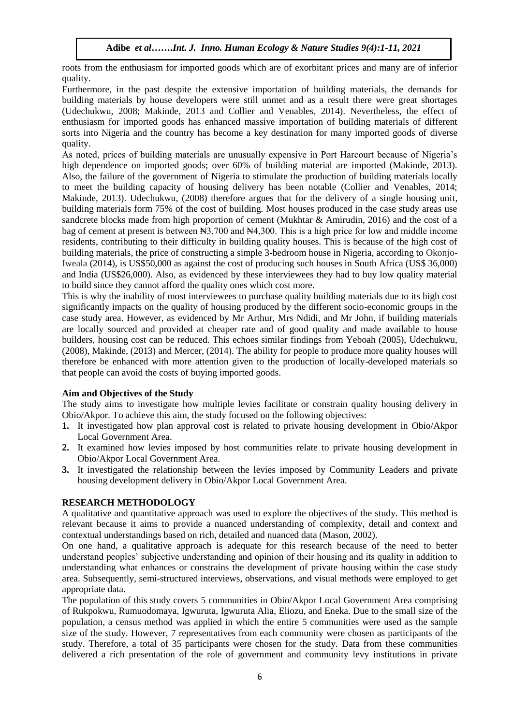roots from the enthusiasm for imported goods which are of exorbitant prices and many are of inferior quality.

Furthermore, in the past despite the extensive importation of building materials, the demands for building materials by house developers were still unmet and as a result there were great shortages (Udechukwu, 2008; Makinde, 2013 and Collier and Venables, 2014). Nevertheless, the effect of enthusiasm for imported goods has enhanced massive importation of building materials of different sorts into Nigeria and the country has become a key destination for many imported goods of diverse quality.

As noted, prices of building materials are unusually expensive in Port Harcourt because of Nigeria's high dependence on imported goods; over 60% of building material are imported (Makinde, 2013). Also, the failure of the government of Nigeria to stimulate the production of building materials locally to meet the building capacity of housing delivery has been notable (Collier and Venables, 2014; Makinde, 2013). Udechukwu, (2008) therefore argues that for the delivery of a single housing unit, building materials form 75% of the cost of building. Most houses produced in the case study areas use sandcrete blocks made from high proportion of cement (Mukhtar & Amirudin, 2016) and the cost of a bag of cement at present is between  $\mathbb{N}3,700$  and  $\mathbb{N}4,300$ . This is a high price for low and middle income residents, contributing to their difficulty in building quality houses. This is because of the high cost of building materials, the price of constructing a simple 3-bedroom house in Nigeria, according to Okonjo-Iweala (2014), is US\$50,000 as against the cost of producing such houses in South Africa (US\$ 36,000) and India (US\$26,000). Also, as evidenced by these interviewees they had to buy low quality material to build since they cannot afford the quality ones which cost more.

This is why the inability of most interviewees to purchase quality building materials due to its high cost significantly impacts on the quality of housing produced by the different socio-economic groups in the case study area. However, as evidenced by Mr Arthur, Mrs Ndidi, and Mr John, if building materials are locally sourced and provided at cheaper rate and of good quality and made available to house builders, housing cost can be reduced. This echoes similar findings from Yeboah (2005), Udechukwu, (2008), Makinde, (2013) and Mercer, (2014). The ability for people to produce more quality houses will therefore be enhanced with more attention given to the production of locally-developed materials so that people can avoid the costs of buying imported goods.

# **Aim and Objectives of the Study**

The study aims to investigate how multiple levies facilitate or constrain quality housing delivery in Obio/Akpor. To achieve this aim, the study focused on the following objectives:

- **1.** It investigated how plan approval cost is related to private housing development in Obio/Akpor Local Government Area.
- **2.** It examined how levies imposed by host communities relate to private housing development in Obio/Akpor Local Government Area.
- **3.** It investigated the relationship between the levies imposed by Community Leaders and private housing development delivery in Obio/Akpor Local Government Area.

# **RESEARCH METHODOLOGY**

A qualitative and quantitative approach was used to explore the objectives of the study. This method is relevant because it aims to provide a nuanced understanding of complexity, detail and context and contextual understandings based on rich, detailed and nuanced data (Mason, 2002).

On one hand, a qualitative approach is adequate for this research because of the need to better understand peoples' subjective understanding and opinion of their housing and its quality in addition to understanding what enhances or constrains the development of private housing within the case study area. Subsequently, semi-structured interviews, observations, and visual methods were employed to get appropriate data.

The population of this study covers 5 communities in Obio/Akpor Local Government Area comprising of Rukpokwu, Rumuodomaya, Igwuruta, Igwuruta Alia, Eliozu, and Eneka. Due to the small size of the population, a census method was applied in which the entire 5 communities were used as the sample size of the study. However, 7 representatives from each community were chosen as participants of the study. Therefore, a total of 35 participants were chosen for the study. Data from these communities delivered a rich presentation of the role of government and community levy institutions in private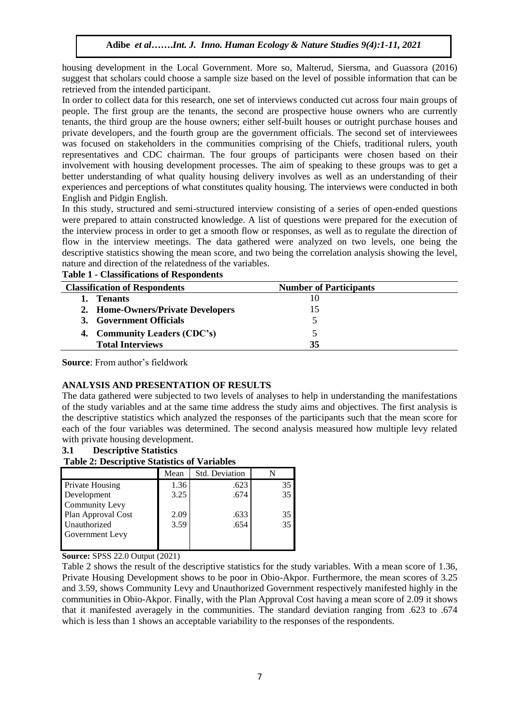housing development in the Local Government. More so, Malterud, Siersma, and Guassora (2016) suggest that scholars could choose a sample size based on the level of possible information that can be retrieved from the intended participant.

In order to collect data for this research, one set of interviews conducted cut across four main groups of people. The first group are the tenants, the second are prospective house owners who are currently tenants, the third group are the house owners; either self-built houses or outright purchase houses and private developers, and the fourth group are the government officials. The second set of interviewees was focused on stakeholders in the communities comprising of the Chiefs, traditional rulers, youth representatives and CDC chairman. The four groups of participants were chosen based on their involvement with housing development processes. The aim of speaking to these groups was to get a better understanding of what quality housing delivery involves as well as an understanding of their experiences and perceptions of what constitutes quality housing. The interviews were conducted in both English and Pidgin English.

In this study, structured and semi-structured interview consisting of a series of open-ended questions were prepared to attain constructed knowledge. A list of questions were prepared for the execution of the interview process in order to get a smooth flow or responses, as well as to regulate the direction of flow in the interview meetings. The data gathered were analyzed on two levels, one being the descriptive statistics showing the mean score, and two being the correlation analysis showing the level, nature and direction of the relatedness of the variables.

| <b>Classification of Respondents</b> | <b>Number of Participants</b> |  |
|--------------------------------------|-------------------------------|--|
| <b>Tenants</b>                       |                               |  |
| 2. Home-Owners/Private Developers    |                               |  |
| 3. Government Officials              |                               |  |
| 4. Community Leaders (CDC's)         |                               |  |
| <b>Total Interviews</b>              | 35                            |  |

|  | <b>Table 1 - Classifications of Respondents</b> |  |  |
|--|-------------------------------------------------|--|--|
|--|-------------------------------------------------|--|--|

**Source**: From author's fieldwork

# **ANALYSIS AND PRESENTATION OF RESULTS**

The data gathered were subjected to two levels of analyses to help in understanding the manifestations of the study variables and at the same time address the study aims and objectives. The first analysis is the descriptive statistics which analyzed the responses of the participants such that the mean score for each of the four variables was determined. The second analysis measured how multiple levy related with private housing development.

# **3.1 Descriptive Statistics**

# **Table 2: Descriptive Statistics of Variables**

|                        | Mean | <b>Std. Deviation</b> |    |
|------------------------|------|-----------------------|----|
| <b>Private Housing</b> | 1.36 | .623                  | 35 |
| Development            | 3.25 | .674                  | 35 |
| <b>Community Levy</b>  |      |                       |    |
| Plan Approval Cost     | 2.09 | .633                  | 35 |
| Unauthorized           | 3.59 | .654                  | 35 |
| Government Levy        |      |                       |    |
|                        |      |                       |    |

**Source:** SPSS 22.0 Output (2021)

Table 2 shows the result of the descriptive statistics for the study variables. With a mean score of 1.36, Private Housing Development shows to be poor in Obio-Akpor. Furthermore, the mean scores of 3.25 and 3.59, shows Community Levy and Unauthorized Government respectively manifested highly in the communities in Obio-Akpor. Finally, with the Plan Approval Cost having a mean score of 2.09 it shows that it manifested averagely in the communities. The standard deviation ranging from .623 to .674 which is less than 1 shows an acceptable variability to the responses of the respondents.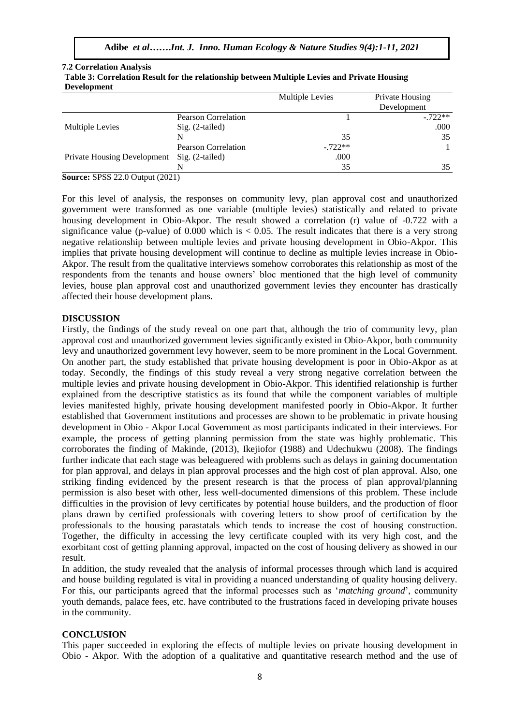| Tuble of Collemnon Republic for the remaining been centraliple fletted and Flitare Romanis<br><b>Development</b> |                            |                 |                                |
|------------------------------------------------------------------------------------------------------------------|----------------------------|-----------------|--------------------------------|
|                                                                                                                  |                            | Multiple Levies | Private Housing<br>Development |
|                                                                                                                  | <b>Pearson Correlation</b> |                 | $-722**$                       |
| Multiple Levies                                                                                                  | Sig. (2-tailed)            |                 | .000                           |
|                                                                                                                  | N                          | 35              | 35                             |
|                                                                                                                  | <b>Pearson Correlation</b> | $-.722**$       |                                |
| <b>Private Housing Development</b>                                                                               | $Sig. (2-tailed)$          | .000            |                                |
|                                                                                                                  |                            | 35              | 35                             |

# **7.2 Correlation Analysis Table 3: Correlation Result for the relationship between Multiple Levies and Private Housing**

**Source:** SPSS 22.0 Output (2021)

For this level of analysis, the responses on community levy, plan approval cost and unauthorized government were transformed as one variable (multiple levies) statistically and related to private housing development in Obio-Akpor. The result showed a correlation (r) value of -0.722 with a significance value (p-value) of 0.000 which is  $< 0.05$ . The result indicates that there is a very strong negative relationship between multiple levies and private housing development in Obio-Akpor. This implies that private housing development will continue to decline as multiple levies increase in Obio-Akpor. The result from the qualitative interviews somehow corroborates this relationship as most of the respondents from the tenants and house owners' bloc mentioned that the high level of community levies, house plan approval cost and unauthorized government levies they encounter has drastically affected their house development plans.

# **DISCUSSION**

Firstly, the findings of the study reveal on one part that, although the trio of community levy, plan approval cost and unauthorized government levies significantly existed in Obio-Akpor, both community levy and unauthorized government levy however, seem to be more prominent in the Local Government. On another part, the study established that private housing development is poor in Obio-Akpor as at today. Secondly, the findings of this study reveal a very strong negative correlation between the multiple levies and private housing development in Obio-Akpor. This identified relationship is further explained from the descriptive statistics as its found that while the component variables of multiple levies manifested highly, private housing development manifested poorly in Obio-Akpor. It further established that Government institutions and processes are shown to be problematic in private housing development in Obio - Akpor Local Government as most participants indicated in their interviews. For example, the process of getting planning permission from the state was highly problematic. This corroborates the finding of Makinde, (2013), Ikejiofor (1988) and Udechukwu (2008). The findings further indicate that each stage was beleaguered with problems such as delays in gaining documentation for plan approval, and delays in plan approval processes and the high cost of plan approval. Also, one striking finding evidenced by the present research is that the process of plan approval/planning permission is also beset with other, less well-documented dimensions of this problem. These include difficulties in the provision of levy certificates by potential house builders, and the production of floor plans drawn by certified professionals with covering letters to show proof of certification by the professionals to the housing parastatals which tends to increase the cost of housing construction. Together, the difficulty in accessing the levy certificate coupled with its very high cost, and the exorbitant cost of getting planning approval, impacted on the cost of housing delivery as showed in our result.

In addition, the study revealed that the analysis of informal processes through which land is acquired and house building regulated is vital in providing a nuanced understanding of quality housing delivery. For this, our participants agreed that the informal processes such as '*matching ground*', community youth demands, palace fees, etc. have contributed to the frustrations faced in developing private houses in the community.

#### **CONCLUSION**

This paper succeeded in exploring the effects of multiple levies on private housing development in Obio - Akpor. With the adoption of a qualitative and quantitative research method and the use of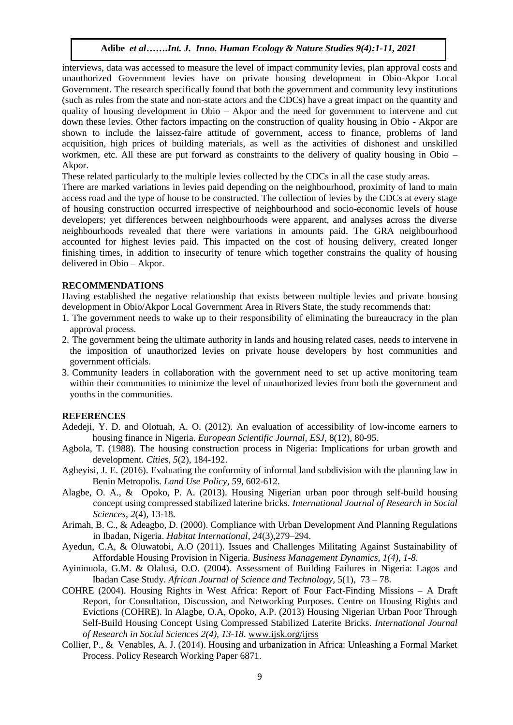interviews, data was accessed to measure the level of impact community levies, plan approval costs and unauthorized Government levies have on private housing development in Obio-Akpor Local Government. The research specifically found that both the government and community levy institutions (such as rules from the state and non-state actors and the CDCs) have a great impact on the quantity and quality of housing development in Obio – Akpor and the need for government to intervene and cut down these levies. Other factors impacting on the construction of quality housing in Obio - Akpor are shown to include the laissez-faire attitude of government, access to finance, problems of land acquisition, high prices of building materials, as well as the activities of dishonest and unskilled workmen, etc. All these are put forward as constraints to the delivery of quality housing in Obio – Akpor.

These related particularly to the multiple levies collected by the CDCs in all the case study areas.

There are marked variations in levies paid depending on the neighbourhood, proximity of land to main access road and the type of house to be constructed. The collection of levies by the CDCs at every stage of housing construction occurred irrespective of neighbourhood and socio-economic levels of house developers; yet differences between neighbourhoods were apparent, and analyses across the diverse neighbourhoods revealed that there were variations in amounts paid. The GRA neighbourhood accounted for highest levies paid. This impacted on the cost of housing delivery, created longer finishing times, in addition to insecurity of tenure which together constrains the quality of housing delivered in Obio – Akpor.

#### **RECOMMENDATIONS**

Having established the negative relationship that exists between multiple levies and private housing development in Obio/Akpor Local Government Area in Rivers State, the study recommends that:

- 1. The government needs to wake up to their responsibility of eliminating the bureaucracy in the plan approval process.
- 2. The government being the ultimate authority in lands and housing related cases, needs to intervene in the imposition of unauthorized levies on private house developers by host communities and government officials.
- 3. Community leaders in collaboration with the government need to set up active monitoring team within their communities to minimize the level of unauthorized levies from both the government and youths in the communities.

#### **REFERENCES**

- Adedeji, Y. D. and Olotuah, A. O. (2012). An evaluation of accessibility of low-income earners to housing finance in Nigeria. *European Scientific Journal, ESJ*, 8(12), 80-95.
- Agbola, T. (1988). The housing construction process in Nigeria: Implications for urban growth and development. *Cities*, *5*(2), 184-192.
- Agheyisi, J. E. (2016). Evaluating the conformity of informal land subdivision with the planning law in Benin Metropolis. *Land Use Policy*, *59*, 602-612.
- Alagbe, O. A., & Opoko, P. A. (2013). Housing Nigerian urban poor through self-build housing concept using compressed stabilized laterine bricks. *International Journal of Research in Social Sciences*, *2*(4), 13-18.
- Arimah, B. C., & Adeagbo, D. (2000). Compliance with Urban Development And Planning Regulations in Ibadan, Nigeria. *Habitat International*, *24*(3),279–294.
- Ayedun, C.A, & Oluwatobi, A.O (2011). Issues and Challenges Militating Against Sustainability of Affordable Housing Provision in Nigeria. *Business Management Dynamics, 1(4), 1-8.*
- Ayininuola, G.M. & Olalusi, O.O. (2004). Assessment of Building Failures in Nigeria: Lagos and Ibadan Case Study. *African Journal of Science and Technology,* 5(1), 73 – 78.
- COHRE (2004). Housing Rights in West Africa: Report of Four Fact-Finding Missions A Draft Report, for Consultation, Discussion, and Networking Purposes. Centre on Housing Rights and Evictions (COHRE). In Alagbe, O.A, Opoko, A.P. (2013) Housing Nigerian Urban Poor Through Self-Build Housing Concept Using Compressed Stabilized Laterite Bricks. *International Journal of Research in Social Sciences 2(4), 13-18*. [www.ijsk.org/ijrss](http://www.ijsk.org/ijrss)
- Collier, P., & Venables, A. J. (2014). Housing and urbanization in Africa: Unleashing a Formal Market Process. Policy Research Working Paper 6871.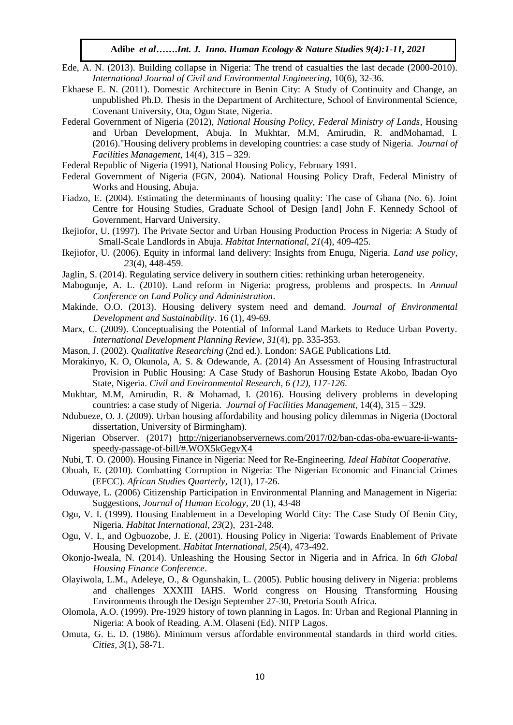- Ede, A. N. (2013). Building collapse in Nigeria: The trend of casualties the last decade (2000-2010). *International Journal of Civil and Environmental Engineering*, 10(6), 32-36.
- Ekhaese E. N. (2011). Domestic Architecture in Benin City: A Study of Continuity and Change, an unpublished Ph.D. Thesis in the Department of Architecture, School of Environmental Science, Covenant University, Ota, Ogun State, Nigeria.
- Federal Government of Nigeria (2012), *National Housing Policy, Federal Ministry of Lands*, Housing and Urban Development, Abuja. In Mukhtar, M.M, Amirudin, R. andMohamad, I. (2016)."Housing delivery problems in developing countries: a case study of Nigeria. *Journal of Facilities Management,* 14(4), 315 – 329.
- Federal Republic of Nigeria (1991), National Housing Policy, February 1991.
- Federal Government of Nigeria (FGN, 2004). National Housing Policy Draft, Federal Ministry of Works and Housing, Abuja.
- Fiadzo, E. (2004). Estimating the determinants of housing quality: The case of Ghana (No. 6). Joint Centre for Housing Studies, Graduate School of Design [and] John F. Kennedy School of Government, Harvard University.
- Ikejiofor, U. (1997). The Private Sector and Urban Housing Production Process in Nigeria: A Study of Small-Scale Landlords in Abuja. *Habitat International*, *21*(4), 409-425.
- Ikejiofor, U. (2006). Equity in informal land delivery: Insights from Enugu, Nigeria. *Land use policy*, *23*(4), 448-459.
- Jaglin, S. (2014). Regulating service delivery in southern cities: rethinking urban heterogeneity.
- Mabogunje, A. L. (2010). Land reform in Nigeria: progress, problems and prospects. In *Annual Conference on Land Policy and Administration*.
- Makinde, O.O. (2013). Housing delivery system need and demand. *Journal of Environmental Development and Sustainability*. 16 (1), 49-69.
- Marx, C. (2009). Conceptualising the Potential of Informal Land Markets to Reduce Urban Poverty. *International Development Planning Review*, *31*(4), pp. 335-353.
- Mason, J. (2002). *Qualitative Researching* (2nd ed.). London: SAGE Publications Ltd.
- Morakinyo, K. O, Okunola, A. S. & Odewande, A. (2014) An Assessment of Housing Infrastructural Provision in Public Housing: A Case Study of Bashorun Housing Estate Akobo, Ibadan Oyo State, Nigeria. *Civil and Environmental Research, 6 (12), 117-126*.
- Mukhtar, M.M, Amirudin, R. & Mohamad, I. (2016). Housing delivery problems in developing countries: a case study of Nigeria. *Journal of Facilities Management,* 14(4), 315 – 329.
- Ndubueze, O. J. (2009). Urban housing affordability and housing policy dilemmas in Nigeria (Doctoral dissertation, University of Birmingham).
- Nigerian Observer. (2017) [http://nigerianobservernews.com/2017/02/ban-cdas-oba-ewuare-ii-wants](http://nigerianobservernews.com/2017/02/ban-cdas-oba-ewuare-ii-wants-speedy-passage-of-bill/#.WOX5kGegvX4)[speedy-passage-of-bill/#.WOX5kGegvX4](http://nigerianobservernews.com/2017/02/ban-cdas-oba-ewuare-ii-wants-speedy-passage-of-bill/#.WOX5kGegvX4)
- Nubi, T. O. (2000). Housing Finance in Nigeria: Need for Re-Engineering. *Ideal Habitat Cooperative*.
- Obuah, E. (2010). Combatting Corruption in Nigeria: The Nigerian Economic and Financial Crimes (EFCC). *African Studies Quarterly*, 12(1), 17-26.
- Oduwaye, L. (2006) Citizenship Participation in Environmental Planning and Management in Nigeria: Suggestions, *Journal of Human Ecology,* 20 (1), 43-48
- Ogu, V. I. (1999). Housing Enablement in a Developing World City: The Case Study Of Benin City, Nigeria. *Habitat International*, *23*(2), 231-248.
- Ogu, V. I., and Ogbuozobe, J. E. (2001). Housing Policy in Nigeria: Towards Enablement of Private Housing Development. *Habitat International*, *25*(4), 473-492.
- Okonjo-Iweala, N. (2014). Unleashing the Housing Sector in Nigeria and in Africa. In *6th Global Housing Finance Conference*.
- Olayiwola, L.M., Adeleye, O., & Ogunshakin, L. (2005). Public housing delivery in Nigeria: problems and challenges XXXIII IAHS. World congress on Housing Transforming Housing Environments through the Design September 27-30, Pretoria South Africa.
- Olomola, A.O. (1999). Pre-1929 history of town planning in Lagos. In: Urban and Regional Planning in Nigeria: A book of Reading. A.M. Olaseni (Ed). NITP Lagos.
- Omuta, G. E. D. (1986). Minimum versus affordable environmental standards in third world cities. *Cities, 3*(1), 58-71.